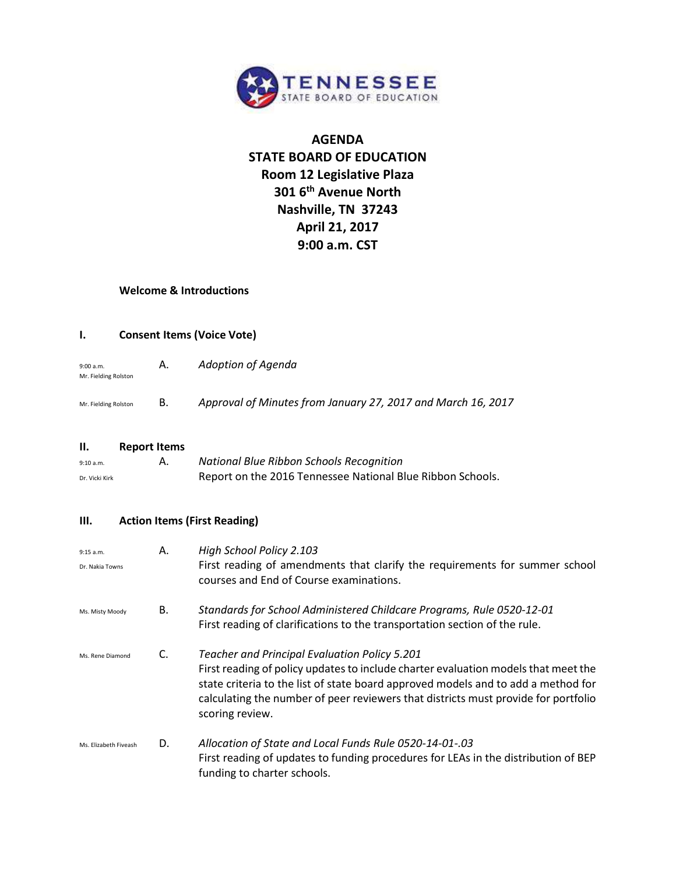

# **AGENDA STATE BOARD OF EDUCATION Room 12 Legislative Plaza 301 6th Avenue North Nashville, TN 37243 April 21, 2017 9:00 a.m. CST**

#### **Welcome & Introductions**

#### **I. Consent Items (Voice Vote)**

| 9:00 a.m.<br>Mr. Fielding Rolston | А. | Adoption of Agenda                                           |
|-----------------------------------|----|--------------------------------------------------------------|
| Mr. Fielding Rolston              | В. | Approval of Minutes from January 27, 2017 and March 16, 2017 |

#### **II. Report Items**

| 9:10 a.m.      | National Blue Ribbon Schools Recognition                   |
|----------------|------------------------------------------------------------|
| Dr. Vicki Kirk | Report on the 2016 Tennessee National Blue Ribbon Schools. |

#### **III. Action Items (First Reading)**

| 9:15 a.m.<br>Dr. Nakia Towns | А. | High School Policy 2.103<br>First reading of amendments that clarify the requirements for summer school<br>courses and End of Course examinations.                                                                                                                                                                                       |
|------------------------------|----|------------------------------------------------------------------------------------------------------------------------------------------------------------------------------------------------------------------------------------------------------------------------------------------------------------------------------------------|
| Ms. Misty Moody              | В. | Standards for School Administered Childcare Programs, Rule 0520-12-01<br>First reading of clarifications to the transportation section of the rule.                                                                                                                                                                                      |
| Ms. Rene Diamond             | C. | <b>Teacher and Principal Evaluation Policy 5.201</b><br>First reading of policy updates to include charter evaluation models that meet the<br>state criteria to the list of state board approved models and to add a method for<br>calculating the number of peer reviewers that districts must provide for portfolio<br>scoring review. |
| Ms. Elizabeth Fiveash        | D. | Allocation of State and Local Funds Rule 0520-14-01-.03<br>First reading of updates to funding procedures for LEAs in the distribution of BEP<br>funding to charter schools.                                                                                                                                                             |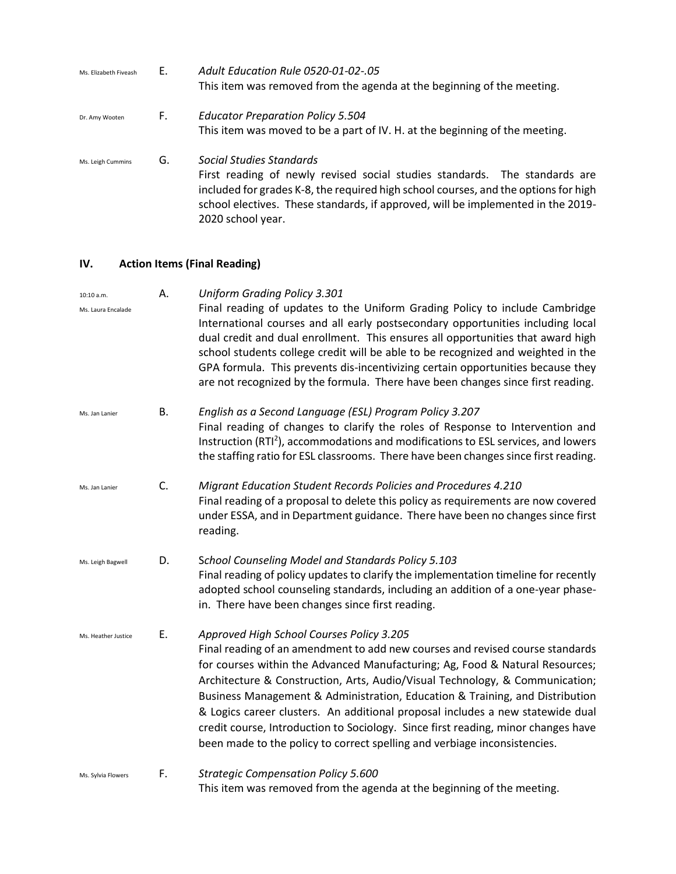| Ms. Elizabeth Fiveash | Е. | <b>Adult Education Rule 0520-01-02-.05</b><br>This item was removed from the agenda at the beginning of the meeting.                                                                                                                                                                                   |
|-----------------------|----|--------------------------------------------------------------------------------------------------------------------------------------------------------------------------------------------------------------------------------------------------------------------------------------------------------|
| Dr. Amy Wooten        | F. | <b>Educator Preparation Policy 5.504</b>                                                                                                                                                                                                                                                               |
|                       |    | This item was moved to be a part of IV. H. at the beginning of the meeting.                                                                                                                                                                                                                            |
| Ms. Leigh Cummins     | G. | Social Studies Standards<br>First reading of newly revised social studies standards. The standards are<br>included for grades K-8, the required high school courses, and the options for high<br>school electives. These standards, if approved, will be implemented in the 2019-<br>2020 school year. |

## **IV. Action Items (Final Reading)**

| 10:10 a.m.          | А. | <b>Uniform Grading Policy 3.301</b>                                                                                                                                                                                                                                                                                                                                                                                                                                                                                                                                                                                            |
|---------------------|----|--------------------------------------------------------------------------------------------------------------------------------------------------------------------------------------------------------------------------------------------------------------------------------------------------------------------------------------------------------------------------------------------------------------------------------------------------------------------------------------------------------------------------------------------------------------------------------------------------------------------------------|
| Ms. Laura Encalade  |    | Final reading of updates to the Uniform Grading Policy to include Cambridge<br>International courses and all early postsecondary opportunities including local<br>dual credit and dual enrollment. This ensures all opportunities that award high<br>school students college credit will be able to be recognized and weighted in the<br>GPA formula. This prevents dis-incentivizing certain opportunities because they<br>are not recognized by the formula. There have been changes since first reading.                                                                                                                    |
| Ms. Jan Lanier      | В. | English as a Second Language (ESL) Program Policy 3.207<br>Final reading of changes to clarify the roles of Response to Intervention and<br>Instruction (RTI <sup>2</sup> ), accommodations and modifications to ESL services, and lowers<br>the staffing ratio for ESL classrooms. There have been changes since first reading.                                                                                                                                                                                                                                                                                               |
| Ms. Jan Lanier      | C. | Migrant Education Student Records Policies and Procedures 4.210<br>Final reading of a proposal to delete this policy as requirements are now covered<br>under ESSA, and in Department guidance. There have been no changes since first<br>reading.                                                                                                                                                                                                                                                                                                                                                                             |
| Ms. Leigh Bagwell   | D. | School Counseling Model and Standards Policy 5.103<br>Final reading of policy updates to clarify the implementation timeline for recently<br>adopted school counseling standards, including an addition of a one-year phase-<br>in. There have been changes since first reading.                                                                                                                                                                                                                                                                                                                                               |
| Ms. Heather Justice | Ε. | Approved High School Courses Policy 3.205<br>Final reading of an amendment to add new courses and revised course standards<br>for courses within the Advanced Manufacturing; Ag, Food & Natural Resources;<br>Architecture & Construction, Arts, Audio/Visual Technology, & Communication;<br>Business Management & Administration, Education & Training, and Distribution<br>& Logics career clusters. An additional proposal includes a new statewide dual<br>credit course, Introduction to Sociology. Since first reading, minor changes have<br>been made to the policy to correct spelling and verbiage inconsistencies. |
| Ms. Sylvia Flowers  | F. | <b>Strategic Compensation Policy 5.600</b><br>This item was removed from the agenda at the beginning of the meeting.                                                                                                                                                                                                                                                                                                                                                                                                                                                                                                           |